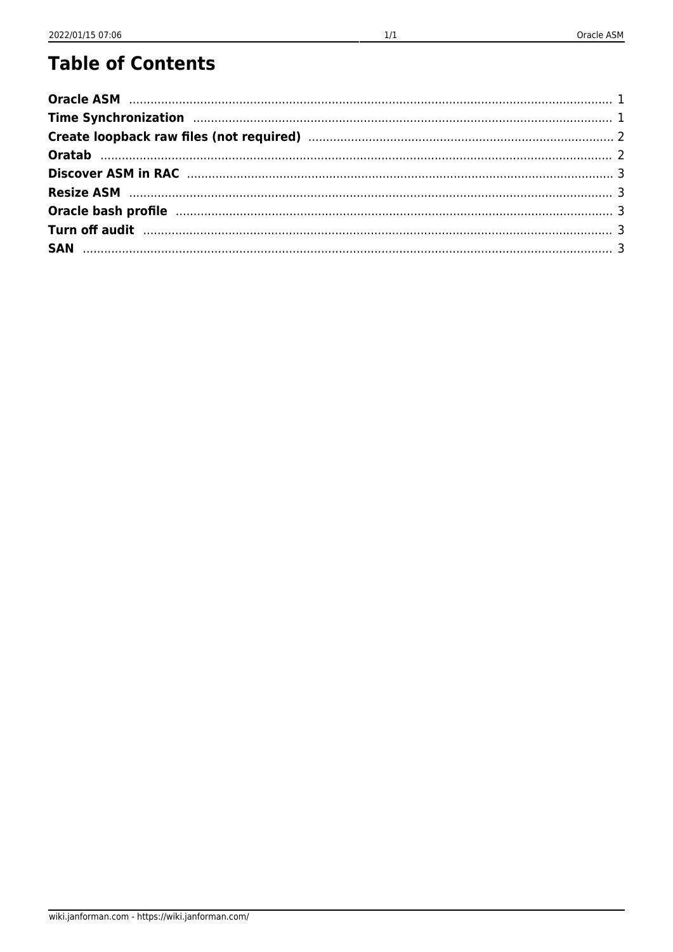#### **Table of Contents**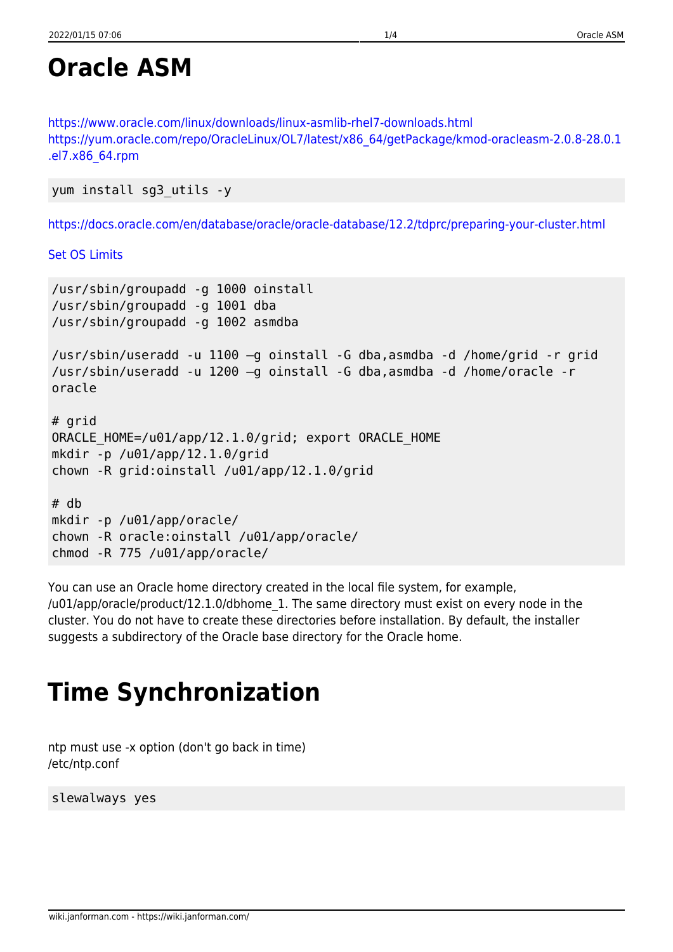#### <span id="page-1-0"></span>**Oracle ASM**

<https://www.oracle.com/linux/downloads/linux-asmlib-rhel7-downloads.html> [https://yum.oracle.com/repo/OracleLinux/OL7/latest/x86\\_64/getPackage/kmod-oracleasm-2.0.8-28.0.1](https://yum.oracle.com/repo/OracleLinux/OL7/latest/x86_64/getPackage/kmod-oracleasm-2.0.8-28.0.1.el7.x86_64.rpm) [.el7.x86\\_64.rpm](https://yum.oracle.com/repo/OracleLinux/OL7/latest/x86_64/getPackage/kmod-oracleasm-2.0.8-28.0.1.el7.x86_64.rpm)

```
yum install sg3_utils -y
```
<https://docs.oracle.com/en/database/oracle/oracle-database/12.2/tdprc/preparing-your-cluster.html>

[Set OS Limits](http://wiki.janforman.com/proxmox#set_ulimit)

```
/usr/sbin/groupadd -g 1000 oinstall
/usr/sbin/groupadd -g 1001 dba
/usr/sbin/groupadd -g 1002 asmdba
/usr/sbin/useradd -u 1100 –g oinstall -G dba,asmdba -d /home/grid -r grid
/usr/sbin/useradd -u 1200 –g oinstall -G dba,asmdba -d /home/oracle -r
oracle
# grid
ORACLE HOME=/u01/app/12.1.0/grid; export ORACLE HOME
mkdir -p /u01/app/12.1.0/grid
chown -R grid:oinstall /u01/app/12.1.0/grid
# db
mkdir -p /u01/app/oracle/
chown -R oracle:oinstall /u01/app/oracle/
chmod -R 775 /u01/app/oracle/
```
You can use an Oracle home directory created in the local file system, for example, /u01/app/oracle/product/12.1.0/dbhome\_1. The same directory must exist on every node in the cluster. You do not have to create these directories before installation. By default, the installer suggests a subdirectory of the Oracle base directory for the Oracle home.

## <span id="page-1-1"></span>**Time Synchronization**

ntp must use -x option (don't go back in time) /etc/ntp.conf

slewalways yes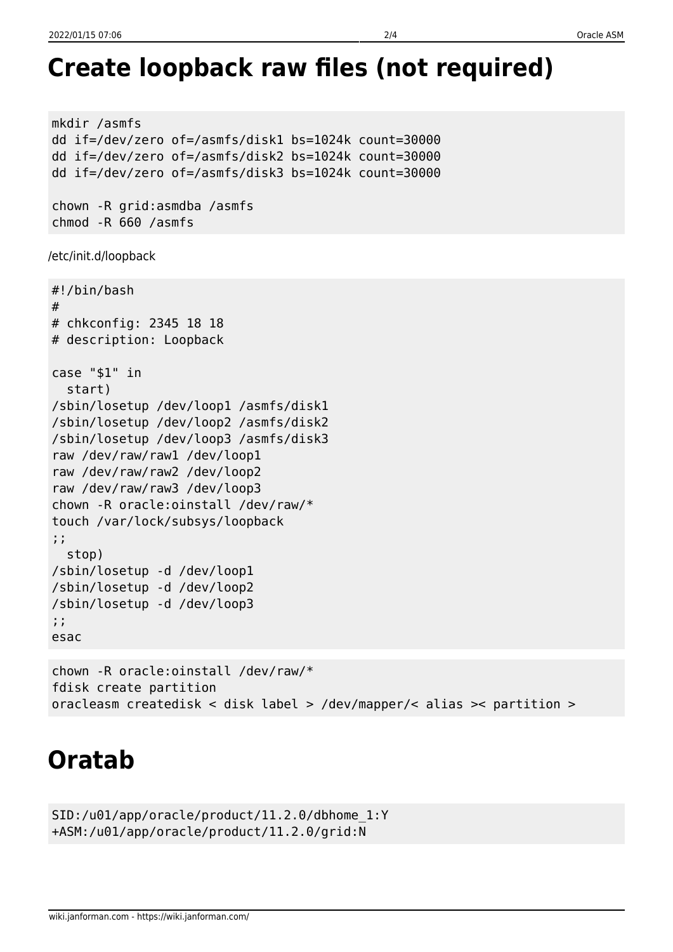```
mkdir /asmfs
dd if=/dev/zero of=/asmfs/disk1 bs=1024k count=30000
dd if=/dev/zero of=/asmfs/disk2 bs=1024k count=30000
dd if=/dev/zero of=/asmfs/disk3 bs=1024k count=30000
chown -R grid:asmdba /asmfs
chmod -R 660 /asmfs
/etc/init.d/loopback
#!/bin/bash
#
# chkconfig: 2345 18 18
# description: Loopback
case "$1" in
   start)
/sbin/losetup /dev/loop1 /asmfs/disk1
/sbin/losetup /dev/loop2 /asmfs/disk2
/sbin/losetup /dev/loop3 /asmfs/disk3
raw /dev/raw/raw1 /dev/loop1
raw /dev/raw/raw2 /dev/loop2
raw /dev/raw/raw3 /dev/loop3
chown -R oracle:oinstall /dev/raw/*
touch /var/lock/subsys/loopback
;;
   stop)
/sbin/losetup -d /dev/loop1
/sbin/losetup -d /dev/loop2
/sbin/losetup -d /dev/loop3
;;
esac
chown -R oracle:oinstall /dev/raw/*
```

```
fdisk create partition
oracleasm createdisk < disk label > /dev/mapper/< alias >< partition >
```
# <span id="page-2-1"></span>**Oratab**

```
SID:/u01/app/oracle/product/11.2.0/dbhome_1:Y
+ASM:/u01/app/oracle/product/11.2.0/grid:N
```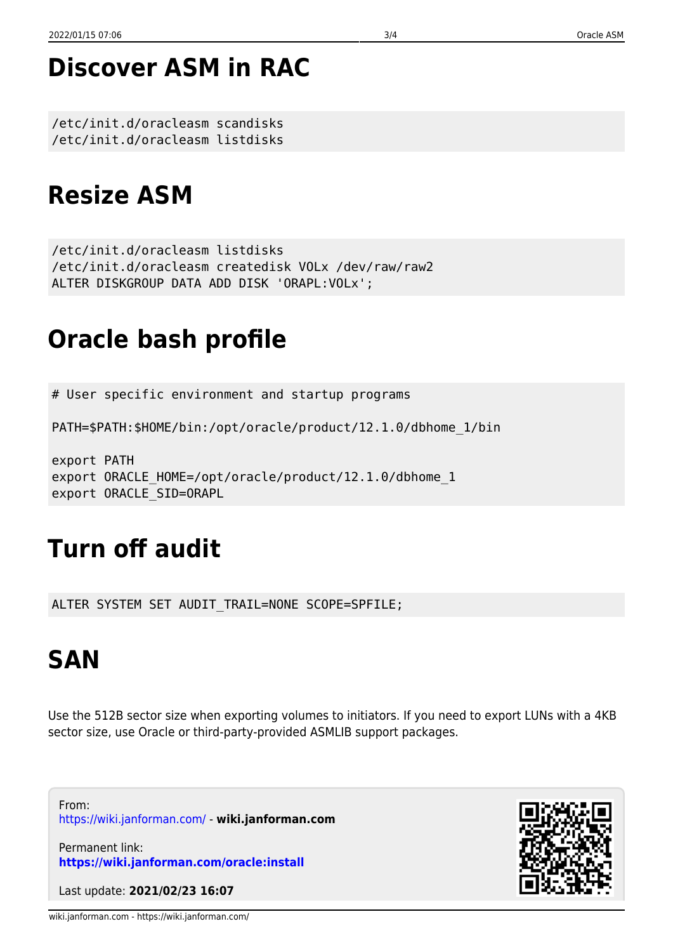### <span id="page-3-0"></span>**Discover ASM in RAC**

/etc/init.d/oracleasm scandisks /etc/init.d/oracleasm listdisks

### <span id="page-3-1"></span>**Resize ASM**

/etc/init.d/oracleasm listdisks /etc/init.d/oracleasm createdisk VOLx /dev/raw/raw2 ALTER DISKGROUP DATA ADD DISK 'ORAPL:VOLx';

# <span id="page-3-2"></span>**Oracle bash profile**

# User specific environment and startup programs

PATH=\$PATH:\$HOME/bin:/opt/oracle/product/12.1.0/dbhome\_1/bin

export PATH export ORACLE HOME=/opt/oracle/product/12.1.0/dbhome 1 export ORACLE\_SID=ORAPL

# <span id="page-3-3"></span>**Turn off audit**

ALTER SYSTEM SET AUDIT TRAIL=NONE SCOPE=SPFILE;

## <span id="page-3-4"></span>**SAN**

Use the 512B sector size when exporting volumes to initiators. If you need to export LUNs with a 4KB sector size, use Oracle or third-party-provided ASMLIB support packages.

From: <https://wiki.janforman.com/> - **wiki.janforman.com**

Permanent link: **<https://wiki.janforman.com/oracle:install>**

Last update: **2021/02/23 16:07**